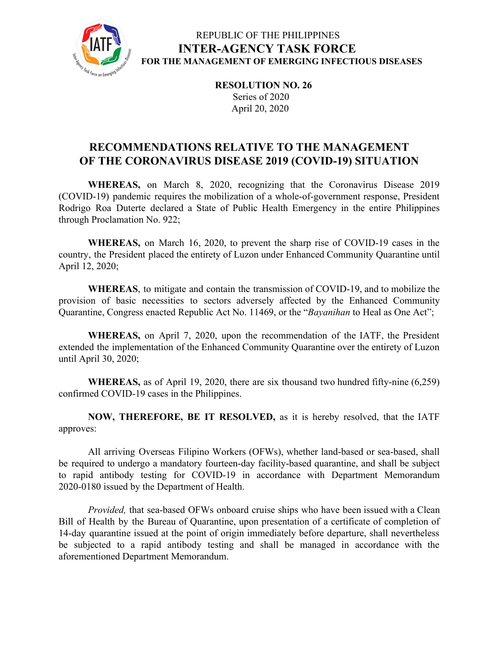

## REPUBLIC OF THE PHILIPPINES **INTER-AGENCY TASK FORCE FOR THE MANAGEMENT OF EMERGING INFECTIOUS DISEASES**

**RESOLUTION NO. 26** Series of 2020 April 20, 2020

# **RECOMMENDATIONS RELATIVE TO THE MANAGEMENT OF THE CORONAVIRUS DISEASE 2019 (COVID-19) SITUATION**

**WHEREAS,** on March 8, 2020, recognizing that the Coronavirus Disease 2019 (COVID-19) pandemic requires the mobilization of a whole-of-government response, President Rodrigo Roa Duterte declared a State of Public Health Emergency in the entire Philippines through Proclamation No. 922;

**WHEREAS,** on March 16, 2020, to prevent the sharp rise of COVID-19 cases in the country, the President placed the entirety of Luzon under Enhanced Community Quarantine until April 12, 2020;

**WHEREAS**, to mitigate and contain the transmission of COVID-19, and to mobilize the provision of basic necessities to sectors adversely affected by the Enhanced Community Quarantine, Congress enacted Republic Act No. 11469, or the "*Bayanihan* to Heal as One Act";

**WHEREAS,** on April 7, 2020, upon the recommendation of the IATF, the President extended the implementation of the Enhanced Community Quarantine over the entirety of Luzon until April 30, 2020;

**WHEREAS,** as of April 19, 2020, there are six thousand two hundred fifty-nine (6,259) confirmed COVID-19 cases in the Philippines.

**NOW, THEREFORE, BE IT RESOLVED,** as it is hereby resolved, that the IATF approves:

All arriving Overseas Filipino Workers (OFWs), whether land-based or sea-based, shall be required to undergo a mandatory fourteen-day facility-based quarantine, and shall be subject to rapid antibody testing for COVID-19 in accordance with Department Memorandum 2020-0180 issued by the Department of Health.

*Provided,* that sea-based OFWs onboard cruise ships who have been issued with a Clean Bill of Health by the Bureau of Quarantine, upon presentation of a certificate of completion of 14-day quarantine issued at the point of origin immediately before departure, shall nevertheless be subjected to a rapid antibody testing and shall be managed in accordance with the aforementioned Department Memorandum.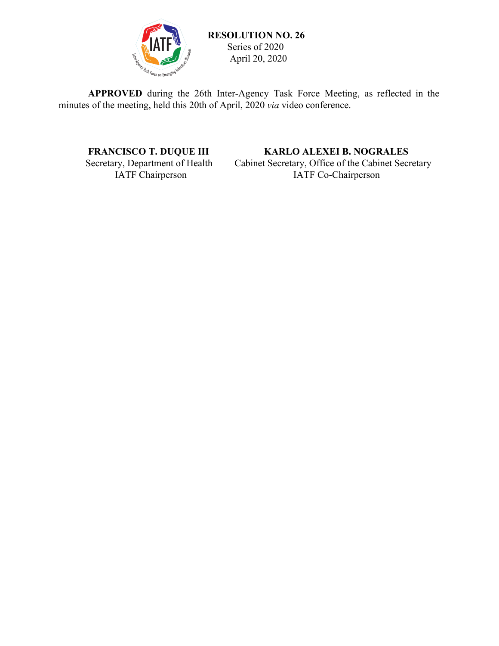

 **RESOLUTION NO. 26** Series of 2020 April 20, 2020

**APPROVED** during the 26th Inter-Agency Task Force Meeting, as reflected in the minutes of the meeting, held this 20th of April, 2020 *via* video conference.

**FRANCISCO T. DUQUE III KARLO ALEXEI B. NOGRALES**<br>Secretary, Department of Health Cabinet Secretary, Office of the Cabinet Secretary In Secretary, Department of Health Cabinet Secretary, Office of the Cabinet Secretary<br>IATF Co-Chairperson IATF Co-Chairperson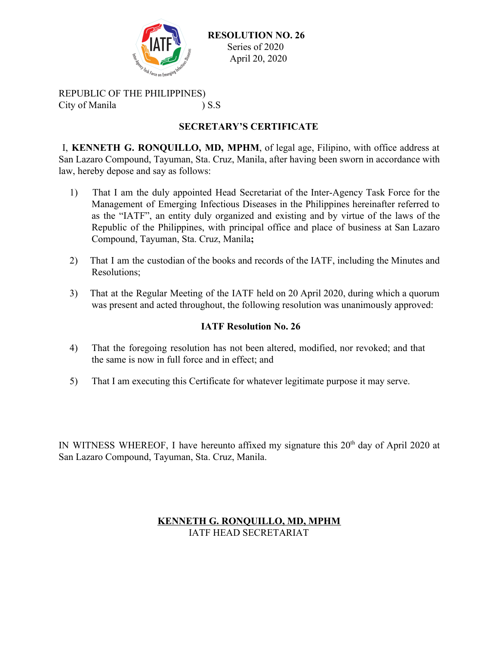

 **RESOLUTION NO. 26** Series of 2020 April 20, 2020

REPUBLIC OF THE PHILIPPINES) City of Manila ) S.S

### **SECRETARY'S CERTIFICATE**

I, **KENNETH G. RONQUILLO, MD, MPHM**, of legal age, Filipino, with office address at San Lazaro Compound, Tayuman, Sta. Cruz, Manila, after having been sworn in accordance with law, hereby depose and say as follows:

- 1) That I am the duly appointed Head Secretariat of the Inter-Agency Task Force for the Management of Emerging Infectious Diseases in the Philippines hereinafter referred to as the "IATF", an entity duly organized and existing and by virtue of the laws of the Republic of the Philippines, with principal office and place of business at San Lazaro Compound, Tayuman, Sta. Cruz, Manila**;**
- 2) That I am the custodian of the books and records of the IATF, including the Minutes and Resolutions;
- 3) That at the Regular Meeting of the IATF held on 20 April 2020, during which a quorum was present and acted throughout, the following resolution was unanimously approved:

#### **IATF Resolution No. 26**

- 4) That the foregoing resolution has not been altered, modified, nor revoked; and that the same is now in full force and in effect; and
- 5) That I am executing this Certificate for whatever legitimate purpose it may serve.

IN WITNESS WHEREOF, I have hereunto affixed my signature this  $20<sup>th</sup>$  day of April 2020 at San Lazaro Compound, Tayuman, Sta. Cruz, Manila.

#### **KENNETH G. RONQUILLO, MD, MPHM** IATF HEAD SECRETARIAT